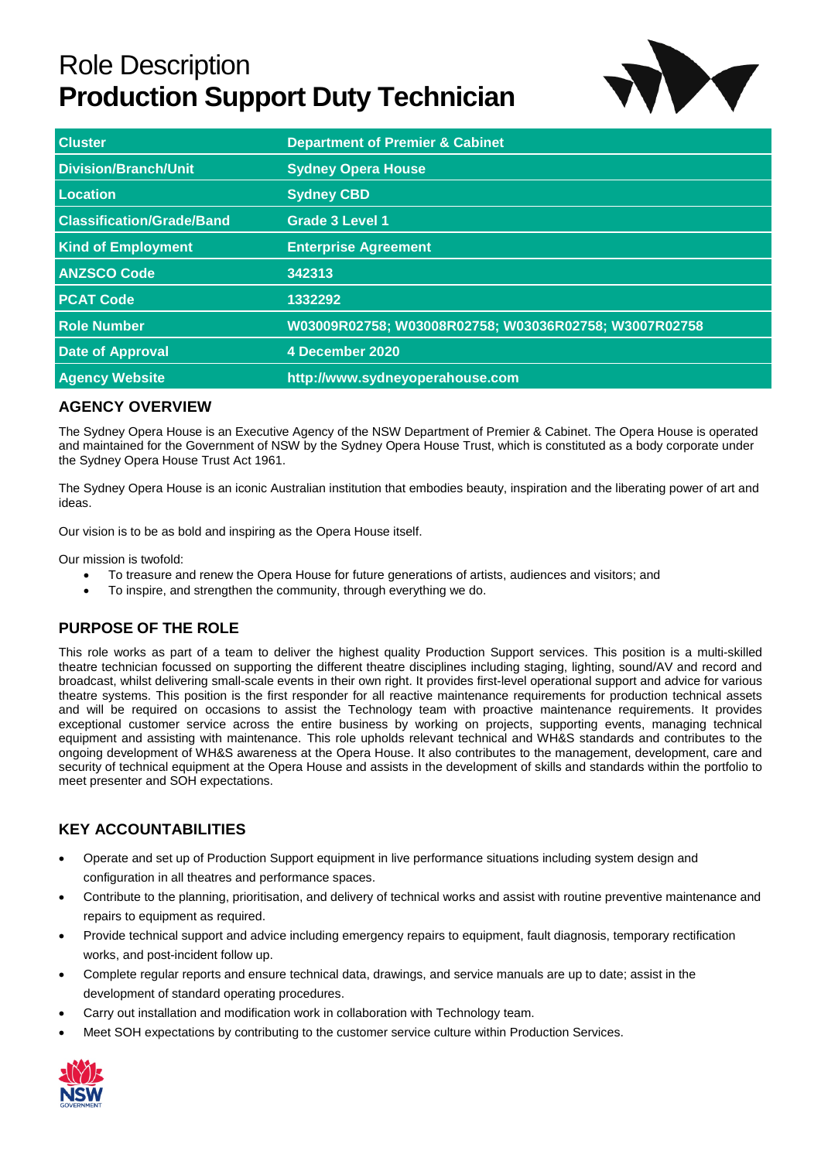# Role Description **Production Support Duty Technician**



| <b>Cluster</b>                   | <b>Department of Premier &amp; Cabinet</b>            |  |
|----------------------------------|-------------------------------------------------------|--|
| <b>Division/Branch/Unit</b>      | <b>Sydney Opera House</b>                             |  |
| Location                         | <b>Sydney CBD</b>                                     |  |
| <b>Classification/Grade/Band</b> | <b>Grade 3 Level 1</b>                                |  |
| <b>Kind of Employment</b>        | <b>Enterprise Agreement</b>                           |  |
| <b>ANZSCO Code</b>               | 342313                                                |  |
| <b>PCAT Code</b>                 | 1332292                                               |  |
| <b>Role Number</b>               | W03009R02758; W03008R02758; W03036R02758; W3007R02758 |  |
| <b>Date of Approval</b>          | 4 December 2020                                       |  |
| <b>Agency Website</b>            | http://www.sydneyoperahouse.com                       |  |

## **AGENCY OVERVIEW**

The Sydney Opera House is an Executive Agency of the NSW Department of Premier & Cabinet. The Opera House is operated and maintained for the Government of NSW by the Sydney Opera House Trust, which is constituted as a body corporate under the Sydney Opera House Trust Act 1961.

The Sydney Opera House is an iconic Australian institution that embodies beauty, inspiration and the liberating power of art and ideas.

Our vision is to be as bold and inspiring as the Opera House itself.

Our mission is twofold:

- To treasure and renew the Opera House for future generations of artists, audiences and visitors; and
- To inspire, and strengthen the community, through everything we do.

## **PURPOSE OF THE ROLE**

This role works as part of a team to deliver the highest quality Production Support services. This position is a multi-skilled theatre technician focussed on supporting the different theatre disciplines including staging, lighting, sound/AV and record and broadcast, whilst delivering small-scale events in their own right. It provides first-level operational support and advice for various theatre systems. This position is the first responder for all reactive maintenance requirements for production technical assets and will be required on occasions to assist the Technology team with proactive maintenance requirements. It provides exceptional customer service across the entire business by working on projects, supporting events, managing technical equipment and assisting with maintenance. This role upholds relevant technical and WH&S standards and contributes to the ongoing development of WH&S awareness at the Opera House. It also contributes to the management, development, care and security of technical equipment at the Opera House and assists in the development of skills and standards within the portfolio to meet presenter and SOH expectations.

# **KEY ACCOUNTABILITIES**

- Operate and set up of Production Support equipment in live performance situations including system design and configuration in all theatres and performance spaces.
- Contribute to the planning, prioritisation, and delivery of technical works and assist with routine preventive maintenance and repairs to equipment as required.
- Provide technical support and advice including emergency repairs to equipment, fault diagnosis, temporary rectification works, and post-incident follow up.
- Complete regular reports and ensure technical data, drawings, and service manuals are up to date; assist in the development of standard operating procedures.
- Carry out installation and modification work in collaboration with Technology team.
- Meet SOH expectations by contributing to the customer service culture within Production Services.

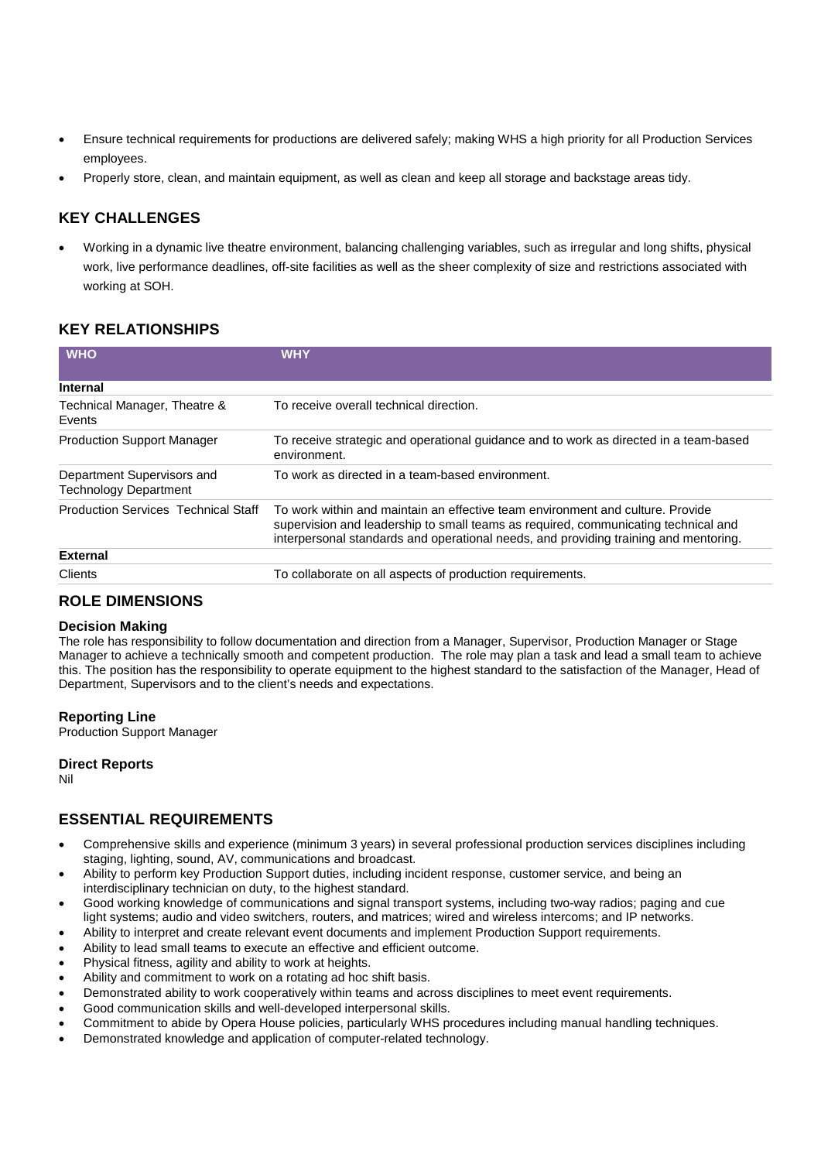- Ensure technical requirements for productions are delivered safely; making WHS a high priority for all Production Services employees.
- Properly store, clean, and maintain equipment, as well as clean and keep all storage and backstage areas tidy.

## **KEY CHALLENGES**

 Working in a dynamic live theatre environment, balancing challenging variables, such as irregular and long shifts, physical work, live performance deadlines, off-site facilities as well as the sheer complexity of size and restrictions associated with working at SOH.

## **KEY RELATIONSHIPS**

| <b>WHO</b>                                                 | <b>WHY</b>                                                                                                                                                                                                                                                   |  |
|------------------------------------------------------------|--------------------------------------------------------------------------------------------------------------------------------------------------------------------------------------------------------------------------------------------------------------|--|
| <b>Internal</b>                                            |                                                                                                                                                                                                                                                              |  |
| Technical Manager, Theatre &<br>Events                     | To receive overall technical direction.                                                                                                                                                                                                                      |  |
| <b>Production Support Manager</b>                          | To receive strategic and operational guidance and to work as directed in a team-based<br>environment.                                                                                                                                                        |  |
| Department Supervisors and<br><b>Technology Department</b> | To work as directed in a team-based environment.                                                                                                                                                                                                             |  |
| <b>Production Services Technical Staff</b>                 | To work within and maintain an effective team environment and culture. Provide<br>supervision and leadership to small teams as required, communicating technical and<br>interpersonal standards and operational needs, and providing training and mentoring. |  |
| <b>External</b>                                            |                                                                                                                                                                                                                                                              |  |
| Clients                                                    | To collaborate on all aspects of production requirements.                                                                                                                                                                                                    |  |

## **ROLE DIMENSIONS**

#### **Decision Making**

The role has responsibility to follow documentation and direction from a Manager, Supervisor, Production Manager or Stage Manager to achieve a technically smooth and competent production. The role may plan a task and lead a small team to achieve this. The position has the responsibility to operate equipment to the highest standard to the satisfaction of the Manager, Head of Department, Supervisors and to the client's needs and expectations.

#### **Reporting Line**

Production Support Manager

## **Direct Reports**

Nil

## **ESSENTIAL REQUIREMENTS**

- Comprehensive skills and experience (minimum 3 years) in several professional production services disciplines including staging, lighting, sound, AV, communications and broadcast.
- Ability to perform key Production Support duties, including incident response, customer service, and being an interdisciplinary technician on duty, to the highest standard.
- Good working knowledge of communications and signal transport systems, including two-way radios; paging and cue light systems; audio and video switchers, routers, and matrices; wired and wireless intercoms; and IP networks.
- Ability to interpret and create relevant event documents and implement Production Support requirements.
- Ability to lead small teams to execute an effective and efficient outcome.
- Physical fitness, agility and ability to work at heights.
- Ability and commitment to work on a rotating ad hoc shift basis.
- Demonstrated ability to work cooperatively within teams and across disciplines to meet event requirements.
- Good communication skills and well-developed interpersonal skills.
- Commitment to abide by Opera House policies, particularly WHS procedures including manual handling techniques.
- Demonstrated knowledge and application of computer-related technology.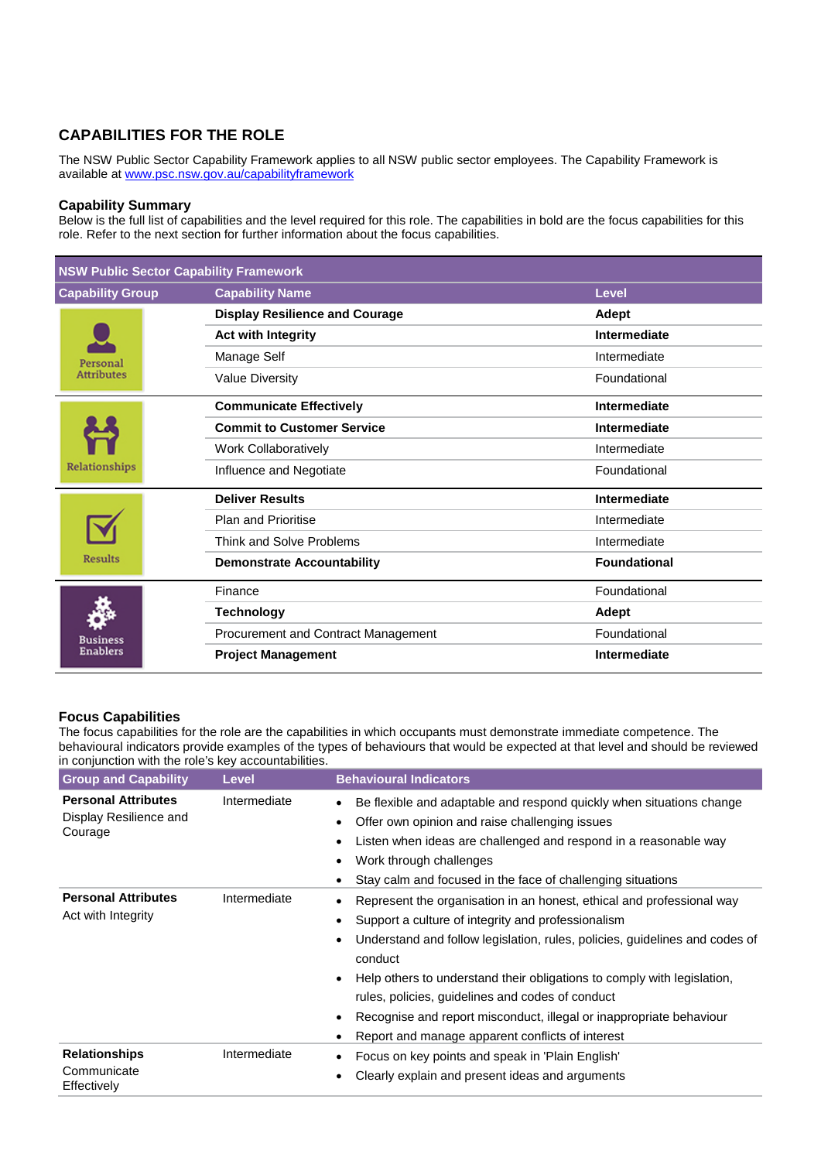# **CAPABILITIES FOR THE ROLE**

The NSW Public Sector Capability Framework applies to all NSW public sector employees. The Capability Framework is available at www.psc.nsw.gov.au/capabilityframework

#### **Capability Summary**

Below is the full list of capabilities and the level required for this role. The capabilities in bold are the focus capabilities for this role. Refer to the next section for further information about the focus capabilities.

| <b>NSW Public Sector Capability Framework</b> |                                        |                     |  |  |
|-----------------------------------------------|----------------------------------------|---------------------|--|--|
| <b>Capability Group</b>                       | <b>Capability Name</b><br><b>Level</b> |                     |  |  |
| Personal<br><b>Attributes</b>                 | <b>Display Resilience and Courage</b>  | Adept               |  |  |
|                                               | <b>Act with Integrity</b>              | Intermediate        |  |  |
|                                               | Manage Self                            | Intermediate        |  |  |
|                                               | <b>Value Diversity</b>                 | Foundational        |  |  |
| Relationships                                 | <b>Communicate Effectively</b>         | Intermediate        |  |  |
|                                               | <b>Commit to Customer Service</b>      | Intermediate        |  |  |
|                                               | Work Collaboratively                   | Intermediate        |  |  |
|                                               | Influence and Negotiate                | Foundational        |  |  |
| <b>Results</b>                                | <b>Deliver Results</b>                 | Intermediate        |  |  |
|                                               | <b>Plan and Prioritise</b>             | Intermediate        |  |  |
|                                               | Think and Solve Problems               | Intermediate        |  |  |
|                                               | <b>Demonstrate Accountability</b>      | <b>Foundational</b> |  |  |
| <b>Business</b><br>Enablers                   | Finance                                | Foundational        |  |  |
|                                               | <b>Technology</b>                      | <b>Adept</b>        |  |  |
|                                               | Procurement and Contract Management    | Foundational        |  |  |
|                                               | <b>Project Management</b>              | Intermediate        |  |  |

## **Focus Capabilities**

The focus capabilities for the role are the capabilities in which occupants must demonstrate immediate competence. The behavioural indicators provide examples of the types of behaviours that would be expected at that level and should be reviewed in conjunction with the role's key accountabilities.

| <b>Group and Capability</b>                                     | <b>Level</b> | <b>Behavioural Indicators</b>                                                                                                                                                                                                                                                                                                                                                                                                                                                                |
|-----------------------------------------------------------------|--------------|----------------------------------------------------------------------------------------------------------------------------------------------------------------------------------------------------------------------------------------------------------------------------------------------------------------------------------------------------------------------------------------------------------------------------------------------------------------------------------------------|
| <b>Personal Attributes</b><br>Display Resilience and<br>Courage | Intermediate | Be flexible and adaptable and respond quickly when situations change<br>Offer own opinion and raise challenging issues<br>Listen when ideas are challenged and respond in a reasonable way<br>Work through challenges<br>Stay calm and focused in the face of challenging situations                                                                                                                                                                                                         |
| <b>Personal Attributes</b><br>Act with Integrity                | Intermediate | Represent the organisation in an honest, ethical and professional way<br>Support a culture of integrity and professionalism<br>Understand and follow legislation, rules, policies, guidelines and codes of<br>conduct<br>Help others to understand their obligations to comply with legislation,<br>$\bullet$<br>rules, policies, guidelines and codes of conduct<br>Recognise and report misconduct, illegal or inappropriate behaviour<br>Report and manage apparent conflicts of interest |
| <b>Relationships</b><br>Communicate<br>Effectively              | Intermediate | Focus on key points and speak in 'Plain English'<br>Clearly explain and present ideas and arguments                                                                                                                                                                                                                                                                                                                                                                                          |